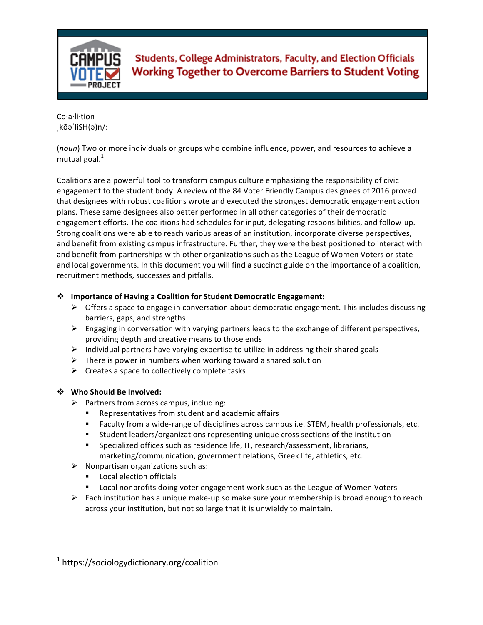

Students, College Administrators, Faculty, and Election Officials **Working Together to Overcome Barriers to Student Voting** 

Co·a·li·tion ˌkōəˈliSH(ə)n/:

(*noun*) Two or more individuals or groups who combine influence, power, and resources to achieve a mutual goal. $<sup>1</sup>$ </sup>

Coalitions are a powerful tool to transform campus culture emphasizing the responsibility of civic engagement to the student body. A review of the 84 Voter Friendly Campus designees of 2016 proved that designees with robust coalitions wrote and executed the strongest democratic engagement action plans. These same designees also better performed in all other categories of their democratic engagement efforts. The coalitions had schedules for input, delegating responsibilities, and follow-up. Strong coalitions were able to reach various areas of an institution, incorporate diverse perspectives, and benefit from existing campus infrastructure. Further, they were the best positioned to interact with and benefit from partnerships with other organizations such as the League of Women Voters or state and local governments. In this document you will find a succinct guide on the importance of a coalition, recruitment methods, successes and pitfalls.

### $\cdot$  Importance of Having a Coalition for Student Democratic Engagement:

- $\triangleright$  Offers a space to engage in conversation about democratic engagement. This includes discussing barriers, gaps, and strengths
- $\triangleright$  Engaging in conversation with varying partners leads to the exchange of different perspectives, providing depth and creative means to those ends
- $\triangleright$  Individual partners have varying expertise to utilize in addressing their shared goals
- $\triangleright$  There is power in numbers when working toward a shared solution
- $\triangleright$  Creates a space to collectively complete tasks

### $\div$  Who Should Be Involved:

- $\triangleright$  Partners from across campus, including:
	- Representatives from student and academic affairs
	- **Faculty from a wide-range of disciplines across campus i.e. STEM, health professionals, etc.**
	- Student leaders/organizations representing unique cross sections of the institution
	- Specialized offices such as residence life, IT, research/assessment, librarians, marketing/communication, government relations, Greek life, athletics, etc.
- $\triangleright$  Nonpartisan organizations such as:
	- Local election officials
	- Local nonprofits doing voter engagement work such as the League of Women Voters
- $\triangleright$  Each institution has a unique make-up so make sure your membership is broad enough to reach across your institution, but not so large that it is unwieldy to maintain.

 

<sup>&</sup>lt;sup>1</sup> https://sociologydictionary.org/coalition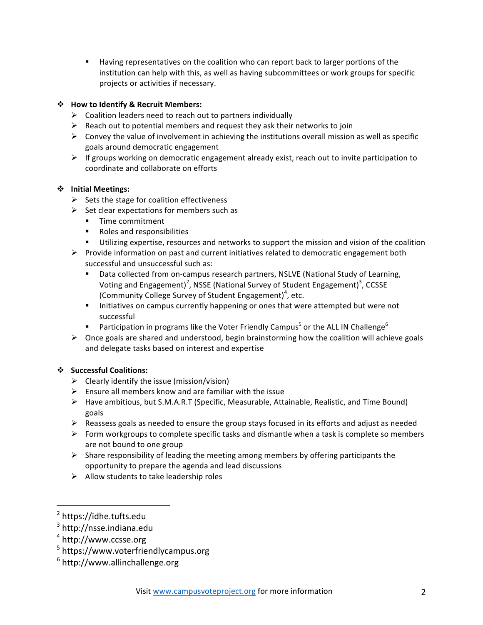**■** Having representatives on the coalition who can report back to larger portions of the institution can help with this, as well as having subcommittees or work groups for specific projects or activities if necessary.

## v **How to Identify & Recruit Members:**

- $\triangleright$  Coalition leaders need to reach out to partners individually
- $\triangleright$  Reach out to potential members and request they ask their networks to join
- $\triangleright$  Convey the value of involvement in achieving the institutions overall mission as well as specific goals around democratic engagement
- $\triangleright$  If groups working on democratic engagement already exist, reach out to invite participation to coordinate and collaborate on efforts

### v **Initial Meetings:**

- $\triangleright$  Sets the stage for coalition effectiveness
- $\triangleright$  Set clear expectations for members such as
	- Time commitment
	- Roles and responsibilities
	- **■** Utilizing expertise, resources and networks to support the mission and vision of the coalition
- $\triangleright$  Provide information on past and current initiatives related to democratic engagement both successful and unsuccessful such as:
	- **Data collected from on-campus research partners, NSLVE (National Study of Learning,** Voting and Engagement)<sup>2</sup>, NSSE (National Survey of Student Engagement)<sup>3</sup>, CCSSE (Community College Survey of Student Engagement)<sup>4</sup>, etc.
	- **■** Initiatives on campus currently happening or ones that were attempted but were not successful
	- **•** Participation in programs like the Voter Friendly Campus<sup>5</sup> or the ALL IN Challenge<sup>6</sup>
- $\triangleright$  Once goals are shared and understood, begin brainstorming how the coalition will achieve goals and delegate tasks based on interest and expertise

# $\cdot$  **Successful Coalitions:**

- $\triangleright$  Clearly identify the issue (mission/vision)
- $\triangleright$  Ensure all members know and are familiar with the issue
- $\triangleright$  Have ambitious, but S.M.A.R.T (Specific, Measurable, Attainable, Realistic, and Time Bound) goals
- $\triangleright$  Reassess goals as needed to ensure the group stays focused in its efforts and adjust as needed
- $\triangleright$  Form workgroups to complete specific tasks and dismantle when a task is complete so members are not bound to one group
- $\triangleright$  Share responsibility of leading the meeting among members by offering participants the opportunity to prepare the agenda and lead discussions
- $\triangleright$  Allow students to take leadership roles

 

<sup>2</sup> https://idhe.tufts.edu

<sup>3</sup> http://nsse.indiana.edu

<sup>4</sup> http://www.ccsse.org

 $5$  https://www.voterfriendlycampus.org

 $6$  http://www.allinchallenge.org